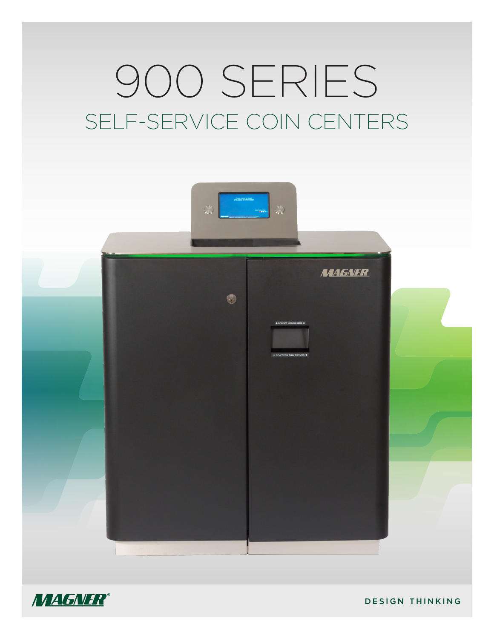# 900 SERIES SELF-SERVICE COIN CENTERS





DESIGN THINKING